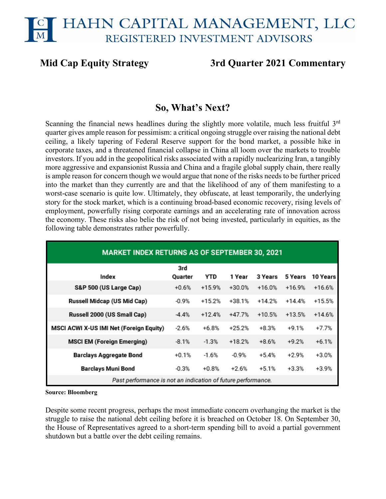# HAHN CAPITAL MANAGEMENT, LLC REGISTERED INVESTMENT ADVISORS

# **Mid Cap Equity Strategy 3rd Quarter 2021 Commentary**

# **So, What's Next?**

Scanning the financial news headlines during the slightly more volatile, much less fruitful 3<sup>rd</sup> quarter gives ample reason for pessimism: a critical ongoing struggle over raising the national debt ceiling, a likely tapering of Federal Reserve support for the bond market, a possible hike in corporate taxes, and a threatened financial collapse in China all loom over the markets to trouble investors. If you add in the geopolitical risks associated with a rapidly nuclearizing Iran, a tangibly more aggressive and expansionist Russia and China and a fragile global supply chain, there really is ample reason for concern though we would argue that none of the risks needs to be further priced into the market than they currently are and that the likelihood of any of them manifesting to a worst-case scenario is quite low. Ultimately, they obfuscate, at least temporarily, the underlying story for the stock market, which is a continuing broad-based economic recovery, rising levels of employment, powerfully rising corporate earnings and an accelerating rate of innovation across the economy. These risks also belie the risk of not being invested, particularly in equities, as the following table demonstrates rather powerfully.

| <b>MARKET INDEX RETURNS AS OF SEPTEMBER 30, 2021</b>         |                |            |          |          |          |          |  |  |  |  |
|--------------------------------------------------------------|----------------|------------|----------|----------|----------|----------|--|--|--|--|
| Index                                                        | 3rd<br>Quarter | <b>YTD</b> | 1 Year   | 3 Years  | 5 Years  | 10 Years |  |  |  |  |
| S&P 500 (US Large Cap)                                       | $+0.6%$        | $+15.9%$   | $+30.0%$ | $+16.0%$ | $+16.9%$ | $+16.6%$ |  |  |  |  |
| Russell Midcap (US Mid Cap)                                  | $-0.9%$        | $+15.2%$   | $+38.1%$ | $+14.2%$ | $+14.4%$ | $+15.5%$ |  |  |  |  |
| Russell 2000 (US Small Cap)                                  | $-4.4%$        | $+12.4%$   | $+47.7%$ | $+10.5%$ | $+13.5%$ | $+14.6%$ |  |  |  |  |
| MSCI ACWI X-US IMI Net (Foreign Equity)                      | $-2.6%$        | $+6.8%$    | $+25.2%$ | $+8.3%$  | $+9.1%$  | +7.7%    |  |  |  |  |
| <b>MSCI EM (Foreign Emerging)</b>                            | $-8.1%$        | $-1.3%$    | $+18.2%$ | $+8.6%$  | $+9.2%$  | $+6.1%$  |  |  |  |  |
| Barclays Aggregate Bond                                      | $+0.1%$        | $-1.6%$    | $-0.9%$  | $+5.4%$  | $+2.9%$  | +3.0%    |  |  |  |  |
| <b>Barclays Muni Bond</b>                                    | $-0.3%$        | $+0.8%$    | $+2.6%$  | $+5.1%$  | $+3.3%$  | $+3.9%$  |  |  |  |  |
| Past performance is not an indication of future performance. |                |            |          |          |          |          |  |  |  |  |

**Source: Bloomberg**

Despite some recent progress, perhaps the most immediate concern overhanging the market is the struggle to raise the national debt ceiling before it is breached on October 18. On September 30, the House of Representatives agreed to a short-term spending bill to avoid a partial government shutdown but a battle over the debt ceiling remains.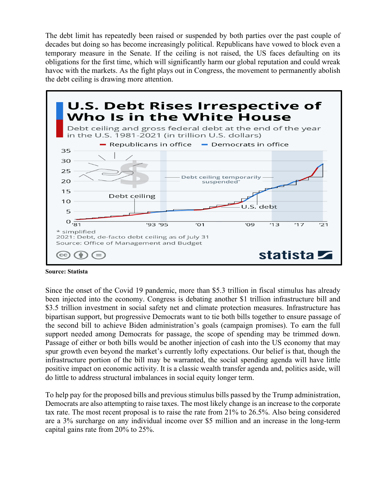The debt limit has repeatedly been raised or suspended by both parties over the past couple of decades but doing so has become increasingly political. Republicans have vowed to block even a temporary measure in the Senate. If the ceiling is not raised, the US faces defaulting on its obligations for the first time, which will significantly harm our global reputation and could wreak havoc with the markets. As the fight plays out in Congress, the movement to permanently abolish the debt ceiling is drawing more attention.



**Source: Statista**

Since the onset of the Covid 19 pandemic, more than \$5.3 trillion in fiscal stimulus has already been injected into the economy. Congress is debating another \$1 trillion infrastructure bill and \$3.5 trillion investment in social safety net and climate protection measures. Infrastructure has bipartisan support, but progressive Democrats want to tie both bills together to ensure passage of the second bill to achieve Biden administration's goals (campaign promises). To earn the full support needed among Democrats for passage, the scope of spending may be trimmed down. Passage of either or both bills would be another injection of cash into the US economy that may spur growth even beyond the market's currently lofty expectations. Our belief is that, though the infrastructure portion of the bill may be warranted, the social spending agenda will have little positive impact on economic activity. It is a classic wealth transfer agenda and, politics aside, will do little to address structural imbalances in social equity longer term.

To help pay for the proposed bills and previous stimulus bills passed by the Trump administration, Democrats are also attempting to raise taxes. The most likely change is an increase to the corporate tax rate. The most recent proposal is to raise the rate from 21% to 26.5%. Also being considered are a 3% surcharge on any individual income over \$5 million and an increase in the long-term capital gains rate from 20% to 25%.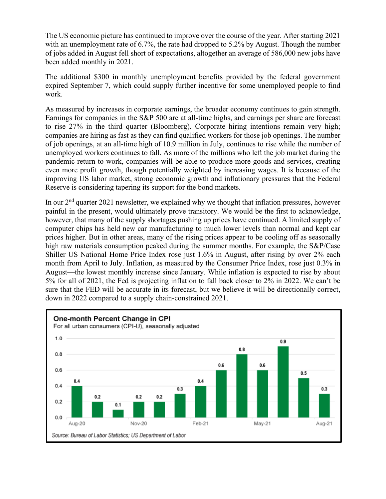The US economic picture has continued to improve over the course of the year. After starting 2021 with an unemployment rate of 6.7%, the rate had dropped to 5.2% by August. Though the number of jobs added in August fell short of expectations, altogether an average of 586,000 new jobs have been added monthly in 2021.

The additional \$300 in monthly unemployment benefits provided by the federal government expired September 7, which could supply further incentive for some unemployed people to find work.

As measured by increases in corporate earnings, the broader economy continues to gain strength. Earnings for companies in the S&P 500 are at all-time highs, and earnings per share are forecast to rise 27% in the third quarter (Bloomberg). Corporate hiring intentions remain very high; companies are hiring as fast as they can find qualified workers for those job openings. The number of job openings, at an all-time high of 10.9 million in July, continues to rise while the number of unemployed workers continues to fall. As more of the millions who left the job market during the pandemic return to work, companies will be able to produce more goods and services, creating even more profit growth, though potentially weighted by increasing wages. It is because of the improving US labor market, strong economic growth and inflationary pressures that the Federal Reserve is considering tapering its support for the bond markets.

In our  $2<sup>nd</sup>$  quarter 2021 newsletter, we explained why we thought that inflation pressures, however painful in the present, would ultimately prove transitory. We would be the first to acknowledge, however, that many of the supply shortages pushing up prices have continued. A limited supply of computer chips has held new car manufacturing to much lower levels than normal and kept car prices higher. But in other areas, many of the rising prices appear to be cooling off as seasonally high raw materials consumption peaked during the summer months. For example, the S&P/Case Shiller US National Home Price Index rose just 1.6% in August, after rising by over 2% each month from April to July. Inflation, as measured by the Consumer Price Index, rose just 0.3% in August—the lowest monthly increase since January. While inflation is expected to rise by about 5% for all of 2021, the Fed is projecting inflation to fall back closer to 2% in 2022. We can't be sure that the FED will be accurate in its forecast, but we believe it will be directionally correct, down in 2022 compared to a supply chain-constrained 2021.

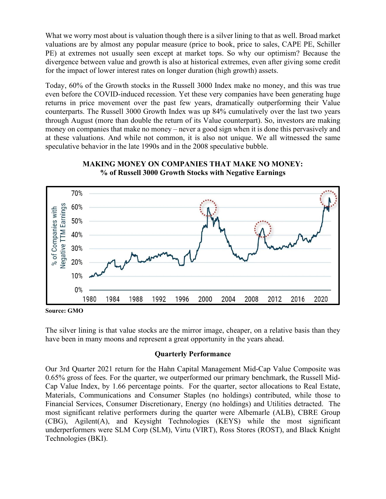What we worry most about is valuation though there is a silver lining to that as well. Broad market valuations are by almost any popular measure (price to book, price to sales, CAPE PE, Schiller PE) at extremes not usually seen except at market tops. So why our optimism? Because the divergence between value and growth is also at historical extremes, even after giving some credit for the impact of lower interest rates on longer duration (high growth) assets.

Today, 60% of the Growth stocks in the Russell 3000 Index make no money, and this was true even before the COVID-induced recession. Yet these very companies have been generating huge returns in price movement over the past few years, dramatically outperforming their Value counterparts. The Russell 3000 Growth Index was up 84% cumulatively over the last two years through August (more than double the return of its Value counterpart). So, investors are making money on companies that make no money – never a good sign when it is done this pervasively and at these valuations. And while not common, it is also not unique. We all witnessed the same speculative behavior in the late 1990s and in the 2008 speculative bubble.



**MAKING MONEY ON COMPANIES THAT MAKE NO MONEY: % of Russell 3000 Growth Stocks with Negative Earnings**

**Source: GMO**

The silver lining is that value stocks are the mirror image, cheaper, on a relative basis than they have been in many moons and represent a great opportunity in the years ahead.

## **Quarterly Performance**

Our 3rd Quarter 2021 return for the Hahn Capital Management Mid-Cap Value Composite was 0.65% gross of fees. For the quarter, we outperformed our primary benchmark, the Russell Mid-Cap Value Index, by 1.66 percentage points. For the quarter, sector allocations to Real Estate, Materials, Communications and Consumer Staples (no holdings) contributed, while those to Financial Services, Consumer Discretionary, Energy (no holdings) and Utilities detracted. The most significant relative performers during the quarter were Albemarle (ALB), CBRE Group (CBG), Agilent(A), and Keysight Technologies (KEYS) while the most significant underperformers were SLM Corp (SLM), Virtu (VIRT), Ross Stores (ROST), and Black Knight Technologies (BKI).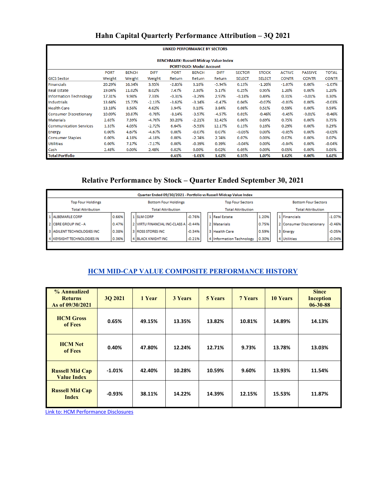# **Hahn Capital Quarterly Performance Attribution – 3Q 2021**

| <b>LINKED PERFORMANCE BY SECTORS</b>                                                                                                                                         |          |        |          |          |          |          |               |               |              |              |              |  |
|------------------------------------------------------------------------------------------------------------------------------------------------------------------------------|----------|--------|----------|----------|----------|----------|---------------|---------------|--------------|--------------|--------------|--|
| <b>BENCHMARK: Russell Midcap Value Index</b>                                                                                                                                 |          |        |          |          |          |          |               |               |              |              |              |  |
| <b>PORTFOLIO: Model Account</b>                                                                                                                                              |          |        |          |          |          |          |               |               |              |              |              |  |
| <b>PORT</b><br><b>BENCH</b><br><b>DIFF</b><br><b>BENCH</b><br><b>DIFF</b><br><b>STOCK</b><br><b>ACTIVE</b><br><b>TOTAL</b><br><b>PORT</b><br><b>SECTOR</b><br><b>PASSIVE</b> |          |        |          |          |          |          |               |               |              |              |              |  |
| <b>GICS Sector</b>                                                                                                                                                           | Weight   | Weight | Weight   | Return   | Return   | Return   | <b>SELECT</b> | <b>SELECT</b> | <b>CONTR</b> | <b>CONTR</b> | <b>CONTR</b> |  |
| <b>Financials</b>                                                                                                                                                            | 20.29%   | 16.34% | 3.95%    | $-2.85%$ | 3.10%    | $-5.94%$ | 0.13%         | $-1.20%$      | $-1.07%$     | 0.00%        | $-1.07%$     |  |
| <b>Real Estate</b>                                                                                                                                                           | 19.04%   | 11.02% | 8.02%    | 7.47%    | 2.30%    | 5.17%    | 0.25%         | 0.95%         | 1.20%        | 0.00%        | 1.20%        |  |
| <b>Information Technology</b>                                                                                                                                                | 17.31%   | 9.98%  | 7.33%    | $-0.31%$ | $-3.29%$ | 2.97%    | $-0.18%$      | 0.49%         | 0.31%        | $-0.01%$     | 0.30%        |  |
| <b>Industrials</b>                                                                                                                                                           | 13.64%   | 15.77% | $-2.13%$ | $-3.62%$ | $-3.14%$ | $-0.47%$ | 0.04%         | $-0.07%$      | $-0.03%$     | 0.00%        | $-0.03%$     |  |
| <b>Health Care</b>                                                                                                                                                           | 13.18%   | 8.56%  | 4.62%    | 3.94%    | 0.10%    | 3.84%    | 0.08%         | 0.51%         | 0.59%        | 0.00%        | 0.59%        |  |
| <b>Consumer Discretionary</b>                                                                                                                                                | 10.09%   | 10.87% | $-0.78%$ | $-8.14%$ | $-3.57%$ | $-4.57%$ | 0.01%         | $-0.46%$      | $-0.45%$     | $-0.01%$     | $-0.46%$     |  |
| <b>Materials</b>                                                                                                                                                             | 2.63%    | 7.39%  | $-4.76%$ | 30.20%   | $-2.21%$ | 32.42%   | 0.06%         | 0.69%         | 0.75%        | $0.00\%$     | 0.75%        |  |
| <b>Communication Services</b>                                                                                                                                                | 1.33%    | 4.05%  | $-2.72%$ | 6.64%    | $-5.53%$ | 12.17%   | 0.13%         | 0.16%         | 0.29%        | 0.00%        | 0.29%        |  |
| <b>Energy</b>                                                                                                                                                                | $0.00\%$ | 4.67%  | $-4.67%$ | 0.00%    | $-0.07%$ | 0.07%    | $-0.05%$      | $0.00\%$      | $-0.05%$     | $0.00\%$     | $-0.05%$     |  |
| <b>Consumer Staples</b>                                                                                                                                                      | $0.00\%$ | 4.18%  | $-4.18%$ | 0.00%    | $-2.74%$ | 2.74%    | 0.07%         | 0.00%         | 0.07%        | $0.00\%$     | 0.07%        |  |
| <b>Utilities</b>                                                                                                                                                             | 0.00%    | 7.17%  | $-7.17%$ | 0.00%    | $-0.39%$ | 0.39%    | $-0.04%$      | 0.00%         | $-0.04%$     | $0.00\%$     | $-0.04%$     |  |
| Cash                                                                                                                                                                         | 2.48%    | 0.00%  | 2.48%    | 0.02%    | 0.00%    | 0.02%    | 0.05%         | 0.00%         | 0.05%        | 0.00%        | 0.05%        |  |
| <b>Total Portfolio</b>                                                                                                                                                       |          |        |          | 0.61%    | $-1.01%$ | 1.62%    | 0.55%         | 1.07%         | 1.62%        | $0.00\%$     | 1.62%        |  |

# **Relative Performance by Stock – Quarter Ended September 30, 2021**

|                                                         | Quarter Ended 09/30/2021 - Portfolio vs Russell Midcap Value Index |       |  |                          |                                       |          |                         |                          |       |                            |                          |          |  |
|---------------------------------------------------------|--------------------------------------------------------------------|-------|--|--------------------------|---------------------------------------|----------|-------------------------|--------------------------|-------|----------------------------|--------------------------|----------|--|
| <b>Bottom Four Holdings</b><br><b>Top Four Holdings</b> |                                                                    |       |  |                          |                                       |          | <b>Top Four Sectors</b> |                          |       | <b>Bottom Four Sectors</b> |                          |          |  |
|                                                         | <b>Total Attribution</b>                                           |       |  | <b>Total Attribution</b> |                                       |          |                         | <b>Total Attribution</b> |       |                            | <b>Total Attribution</b> |          |  |
|                                                         | 1   ALBEMARLE CORP                                                 | 0.66% |  |                          | 1 SLM CORP                            | $-0.76%$ |                         | 1 Real Estate            | 1.20% |                            | 1 Financials             | $-1.07%$ |  |
|                                                         | 2 CBREGROUP INC-A                                                  | 0.47% |  |                          | 2 VIRTU FINANCIAL INC-CLASS A 1-0.44% |          |                         | 12 Materials             | 0.75% |                            | 2 Consumer Discretionary | $-0.46%$ |  |
|                                                         | 3 AGILENT TECHNOLOGIES INC                                         | 0.38% |  |                          | 3 ROSS STORES INC.                    | $-0.34%$ |                         | 3 Health Care            | 0.59% |                            | 3 Energy                 | $-0.05%$ |  |
|                                                         | 4 KEYSIGHT TECHNOLOGIES IN                                         | 0.36% |  |                          | <b>4 BLACK KNIGHT INC</b>             | $-0.21%$ |                         | 4 Information Technology | 0.30% |                            | 4 Utilities              | $-0.04%$ |  |
|                                                         |                                                                    |       |  |                          |                                       |          |                         |                          |       |                            |                          |          |  |

## **HCM MID-CAP VALUE COMPOSITE PERFORMANCE HISTORY**

| % Annualized<br><b>Returns</b><br>As of 09/30/2021 | 30 2021   | 1 Year | <b>3 Years</b> | <b>5 Years</b> | <b>7 Years</b> | <b>10 Years</b> | <b>Since</b><br><b>Inception</b><br>$06 - 30 - 88$ |
|----------------------------------------------------|-----------|--------|----------------|----------------|----------------|-----------------|----------------------------------------------------|
| <b>HCM</b> Gross<br>of Fees                        | 0.65%     | 49.15% | 13.35%         | 13.82%         | 10.81%         | 14.89%          | 14.13%                                             |
| <b>HCM Net</b><br>of Fees                          | 0.40%     | 47.80% | 12.24%         | 12.71%         | 9.73%          | 13.78%          | 13.03%                                             |
| <b>Russell Mid Cap</b><br><b>Value Index</b>       | $-1.01\%$ | 42.40% | 10.28%         | 10.59%         | 9.60%          | 13.93%          | 11.54%                                             |
| <b>Russell Mid Cap</b><br><b>Index</b>             | $-0.93%$  | 38.11% | 14.22%         | 14.39%         | 12.15%         | 15.53%          | 11.87%                                             |

[Link to: HCM Performance Disclosures](https://img1.wsimg.com/blobby/go/c17b70fa-11ea-4e3b-9a08-77e0dd611618/downloads/Hahn_Performance_Disclosure.pdf?ver=1618420639591)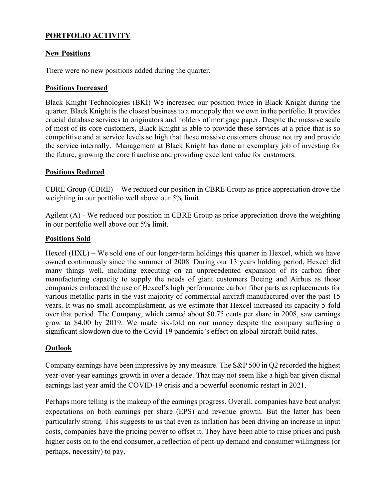# **PORTFOLIO ACTIVITY**

#### **New Positions**

There were no new positions added during the quarter.

## **Positions Increased**

Black Knight Technologies (BKI) We increased our position twice in Black Knight during the quarter. Black Knight is the closest business to a monopoly that we own in the portfolio. It provides crucial database services to originators and holders of mortgage paper. Despite the massive scale of most of its core customers, Black Knight is able to provide these services at a price that is so competitive and at service levels so high that these massive customers choose not try and provide the service internally. Management at Black Knight has done an exemplary job of investing for the future, growing the core franchise and providing excellent value for customers.

## **Positions Reduced**

CBRE Group (CBRE) - We reduced our position in CBRE Group as price appreciation drove the weighting in our portfolio well above our 5% limit.

Agilent (A) - We reduced our position in CBRE Group as price appreciation drove the weighting in our portfolio well above our 5% limit.

## **Positions Sold**

Hexcel (HXL) – We sold one of our longer-term holdings this quarter in Hexcel, which we have owned continuously since the summer of 2008. During our 13 years holding period, Hexcel did many things well, including executing on an unprecedented expansion of its carbon fiber manufacturing capacity to supply the needs of giant customers Boeing and Airbus as those companies embraced the use of Hexcel's high performance carbon fiber parts as replacements for various metallic parts in the vast majority of commercial aircraft manufactured over the past 15 years. It was no small accomplishment, as we estimate that Hexcel increased its capacity 5-fold over that period. The Company, which earned about \$0.75 cents per share in 2008, saw earnings grow to \$4.00 by 2019. We made six-fold on our money despite the company suffering a significant slowdown due to the Covid-19 pandemic's effect on global aircraft build rates.

## **Outlook**

Company earnings have been impressive by any measure. The S&P 500 in Q2 recorded the highest year-over-year earnings growth in over a decade. That may not seem like a high bar given dismal earnings last year amid the COVID-19 crisis and a powerful economic restart in 2021.

Perhaps more telling is the makeup of the earnings progress. Overall, companies have beat analyst expectations on both earnings per share (EPS) and revenue growth. But the latter has been particularly strong. This suggests to us that even as inflation has been driving an increase in input costs, companies have the pricing power to offset it. They have been able to raise prices and push higher costs on to the end consumer, a reflection of pent-up demand and consumer willingness (or perhaps, necessity) to pay.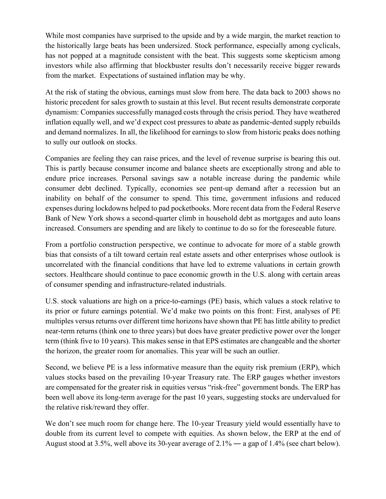While most companies have surprised to the upside and by a wide margin, the market reaction to the historically large beats has been undersized. Stock performance, especially among cyclicals, has not popped at a magnitude consistent with the beat. This suggests some skepticism among investors while also affirming that blockbuster results don't necessarily receive bigger rewards from the market. Expectations of sustained inflation may be why.

At the risk of stating the obvious, earnings must slow from here. The data back to 2003 shows no historic precedent for sales growth to sustain at this level. But recent results demonstrate corporate dynamism: Companies successfully managed costs through the crisis period. They have weathered inflation equally well, and we'd expect cost pressures to abate as pandemic-dented supply rebuilds and demand normalizes. In all, the likelihood for earnings to slow from historic peaks does nothing to sully our outlook on stocks.

Companies are feeling they can raise prices, and the level of revenue surprise is bearing this out. This is partly because consumer income and balance sheets are exceptionally strong and able to endure price increases. Personal savings saw a notable increase during the pandemic while consumer debt declined. Typically, economies see pent-up demand after a recession but an inability on behalf of the consumer to spend. This time, government infusions and reduced expenses during lockdowns helped to pad pocketbooks. More recent data from the Federal Reserve Bank of New York shows a second-quarter climb in household debt as mortgages and auto loans increased. Consumers are spending and are likely to continue to do so for the foreseeable future.

From a portfolio construction perspective, we continue to advocate for more of a stable growth bias that consists of a tilt toward certain real estate assets and other enterprises whose outlook is uncorrelated with the financial conditions that have led to extreme valuations in certain growth sectors. Healthcare should continue to pace economic growth in the U.S. along with certain areas of consumer spending and infrastructure-related industrials.

U.S. stock valuations are high on a price-to-earnings (PE) basis, which values a stock relative to its prior or future earnings potential. We'd make two points on this front: First, analyses of PE multiples versus returns over different time horizons have shown that PE has little ability to predict near-term returns (think one to three years) but does have greater predictive power over the longer term (think five to 10 years). This makes sense in that EPS estimates are changeable and the shorter the horizon, the greater room for anomalies. This year will be such an outlier.

Second, we believe PE is a less informative measure than the equity risk premium (ERP), which values stocks based on the prevailing 10-year Treasury rate. The ERP gauges whether investors are compensated for the greater risk in equities versus "risk-free" government bonds. The ERP has been well above its long-term average for the past 10 years, suggesting stocks are undervalued for the relative risk/reward they offer.

We don't see much room for change here. The 10-year Treasury yield would essentially have to double from its current level to compete with equities. As shown below, the ERP at the end of August stood at 3.5%, well above its 30-year average of 2.1% ― a gap of 1.4% (see chart below).